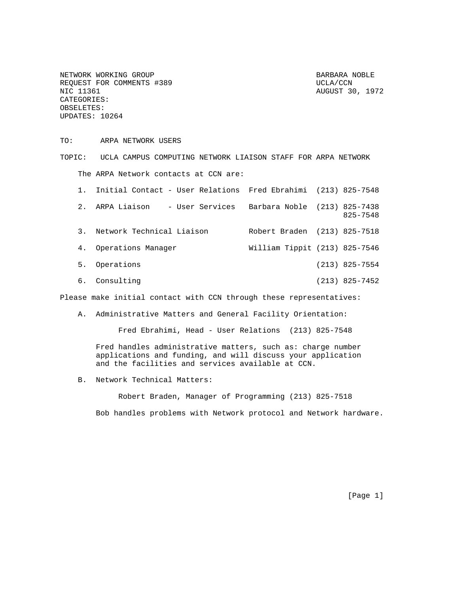NETWORK WORKING GROUP BARBARA NOBLE REQUEST FOR COMMENTS #389 UCLA/CCN UCLA/CCN NIC 11361 CATEGORIES: OBSELETES: UPDATES: 10264

AUGUST 30, 1972

TO: ARPA NETWORK USERS

TOPIC: UCLA CAMPUS COMPUTING NETWORK LIAISON STAFF FOR ARPA NETWORK The ARPA Network contacts at CCN are:

|    | 1. Initial Contact - User Relations Fred Ebrahimi (213) 825-7548 |                               |                  |
|----|------------------------------------------------------------------|-------------------------------|------------------|
|    | 2. ARPA Liaison<br>- User Services Barbara Noble (213) 825-7438  |                               | 825-7548         |
|    | 3. Network Technical Liaison                                     | Robert Braden (213) 825-7518  |                  |
| 4. | Operations Manager                                               | William Tippit (213) 825-7546 |                  |
| 5. | Operations                                                       |                               | $(213)$ 825-7554 |

6. Consulting (213) 825-7452

Please make initial contact with CCN through these representatives:

A. Administrative Matters and General Facility Orientation:

Fred Ebrahimi, Head - User Relations (213) 825-7548

Fred handles administrative matters, such as: charge number applications and funding, and will discuss your application and the facilities and services available at CCN.

B. Network Technical Matters:

 Robert Braden, Manager of Programming (213) 825-7518 Bob handles problems with Network protocol and Network hardware.

[Page 1]